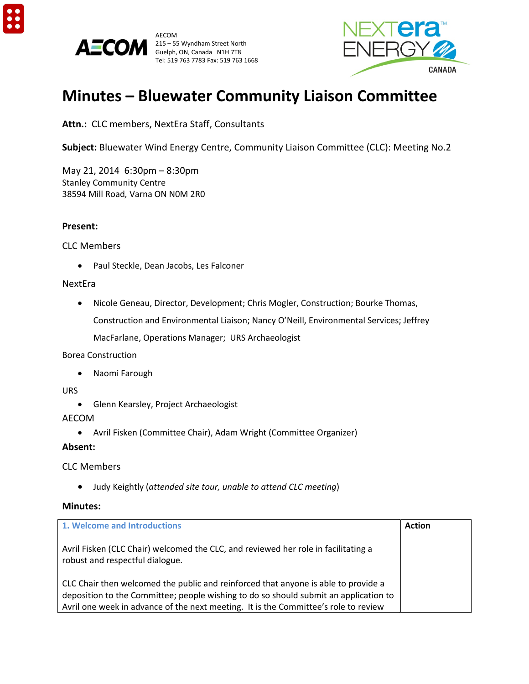





# **Minutes – Bluewater Community Liaison Committee**

**Attn.:** CLC members, NextEra Staff, Consultants

**Subject:** Bluewater Wind Energy Centre, Community Liaison Committee (CLC): Meeting No.2

May 21, 2014 6:30pm – 8:30pm Stanley Community Centre 38594 Mill Road*,* Varna ON N0M 2R0

### **Present:**

### CLC Members

• Paul Steckle, Dean Jacobs, Les Falconer

### NextEra

• Nicole Geneau, Director, Development; Chris Mogler, Construction; Bourke Thomas,

Construction and Environmental Liaison; Nancy O'Neill, Environmental Services; Jeffrey

MacFarlane, Operations Manager; URS Archaeologist

#### Borea Construction

• Naomi Farough

### **URS**

• Glenn Kearsley, Project Archaeologist

# AECOM

• Avril Fisken (Committee Chair), Adam Wright (Committee Organizer)

# **Absent:**

# CLC Members

• Judy Keightly (*attended site tour, unable to attend CLC meeting*)

# **Minutes:**

| 1. Welcome and Introductions                                                                                                                                                                                                                                      | <b>Action</b> |
|-------------------------------------------------------------------------------------------------------------------------------------------------------------------------------------------------------------------------------------------------------------------|---------------|
| Avril Fisken (CLC Chair) welcomed the CLC, and reviewed her role in facilitating a<br>robust and respectful dialogue.                                                                                                                                             |               |
| CLC Chair then welcomed the public and reinforced that anyone is able to provide a<br>deposition to the Committee; people wishing to do so should submit an application to<br>Avril one week in advance of the next meeting. It is the Committee's role to review |               |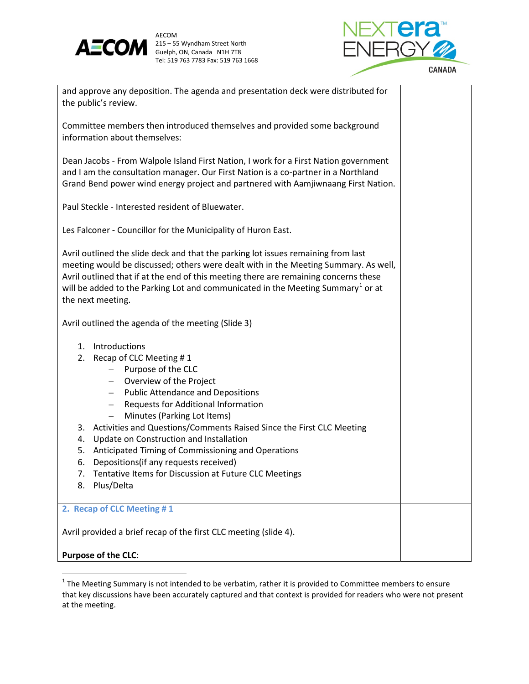



| and approve any deposition. The agenda and presentation deck were distributed for<br>the public's review.                                                                                                                                                                                                                                                                                                                                                                                                                                                                                                                     |  |  |  |
|-------------------------------------------------------------------------------------------------------------------------------------------------------------------------------------------------------------------------------------------------------------------------------------------------------------------------------------------------------------------------------------------------------------------------------------------------------------------------------------------------------------------------------------------------------------------------------------------------------------------------------|--|--|--|
| Committee members then introduced themselves and provided some background<br>information about themselves:                                                                                                                                                                                                                                                                                                                                                                                                                                                                                                                    |  |  |  |
| Dean Jacobs - From Walpole Island First Nation, I work for a First Nation government<br>and I am the consultation manager. Our First Nation is a co-partner in a Northland<br>Grand Bend power wind energy project and partnered with Aamjiwnaang First Nation.                                                                                                                                                                                                                                                                                                                                                               |  |  |  |
| Paul Steckle - Interested resident of Bluewater.                                                                                                                                                                                                                                                                                                                                                                                                                                                                                                                                                                              |  |  |  |
| Les Falconer - Councillor for the Municipality of Huron East.                                                                                                                                                                                                                                                                                                                                                                                                                                                                                                                                                                 |  |  |  |
| Avril outlined the slide deck and that the parking lot issues remaining from last<br>meeting would be discussed; others were dealt with in the Meeting Summary. As well,<br>Avril outlined that if at the end of this meeting there are remaining concerns these<br>will be added to the Parking Lot and communicated in the Meeting Summary <sup>1</sup> or at<br>the next meeting.                                                                                                                                                                                                                                          |  |  |  |
| Avril outlined the agenda of the meeting (Slide 3)                                                                                                                                                                                                                                                                                                                                                                                                                                                                                                                                                                            |  |  |  |
| 1. Introductions<br>2. Recap of CLC Meeting #1<br>Purpose of the CLC<br>$\overline{\phantom{0}}$<br>- Overview of the Project<br>- Public Attendance and Depositions<br>Requests for Additional Information<br>$\overline{\phantom{m}}$<br>Minutes (Parking Lot Items)<br>$\overline{\phantom{0}}$<br>3. Activities and Questions/Comments Raised Since the First CLC Meeting<br>Update on Construction and Installation<br>4.<br>Anticipated Timing of Commissioning and Operations<br>5.<br>6.<br>Depositions (if any requests received)<br>Tentative Items for Discussion at Future CLC Meetings<br>7.<br>Plus/Delta<br>8. |  |  |  |
| 2. Recap of CLC Meeting #1                                                                                                                                                                                                                                                                                                                                                                                                                                                                                                                                                                                                    |  |  |  |
| Avril provided a brief recap of the first CLC meeting (slide 4).                                                                                                                                                                                                                                                                                                                                                                                                                                                                                                                                                              |  |  |  |
| Purpose of the CLC:                                                                                                                                                                                                                                                                                                                                                                                                                                                                                                                                                                                                           |  |  |  |

<span id="page-1-0"></span> $1$  The Meeting Summary is not intended to be verbatim, rather it is provided to Committee members to ensure that key discussions have been accurately captured and that context is provided for readers who were not present at the meeting.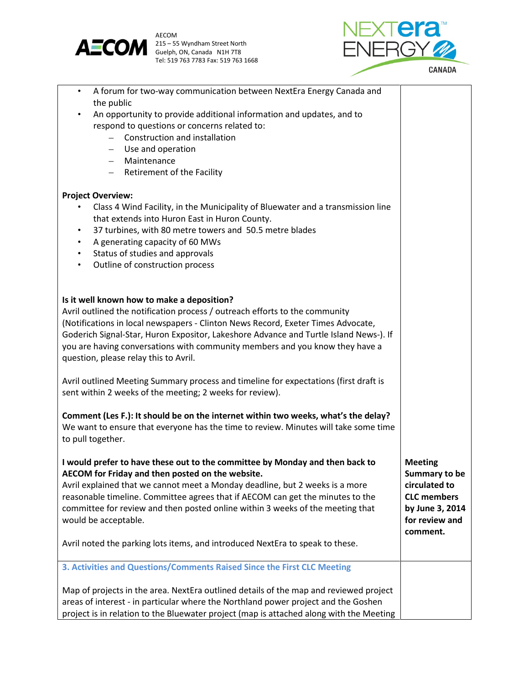



| A forum for two-way communication between NextEra Energy Canada and<br>$\bullet$<br>the public |                            |
|------------------------------------------------------------------------------------------------|----------------------------|
| An opportunity to provide additional information and updates, and to                           |                            |
| respond to questions or concerns related to:                                                   |                            |
| Construction and installation                                                                  |                            |
| Use and operation<br>$\overline{\phantom{m}}$                                                  |                            |
| Maintenance<br>$\overline{\phantom{0}}$                                                        |                            |
| Retirement of the Facility<br>$-$                                                              |                            |
| <b>Project Overview:</b>                                                                       |                            |
| Class 4 Wind Facility, in the Municipality of Bluewater and a transmission line                |                            |
| that extends into Huron East in Huron County.                                                  |                            |
| 37 turbines, with 80 metre towers and 50.5 metre blades<br>$\bullet$                           |                            |
| A generating capacity of 60 MWs<br>$\bullet$                                                   |                            |
| Status of studies and approvals<br>$\bullet$                                                   |                            |
| Outline of construction process<br>$\bullet$                                                   |                            |
|                                                                                                |                            |
| Is it well known how to make a deposition?                                                     |                            |
| Avril outlined the notification process / outreach efforts to the community                    |                            |
| (Notifications in local newspapers - Clinton News Record, Exeter Times Advocate,               |                            |
| Goderich Signal-Star, Huron Expositor, Lakeshore Advance and Turtle Island News-). If          |                            |
| you are having conversations with community members and you know they have a                   |                            |
| question, please relay this to Avril.                                                          |                            |
| Avril outlined Meeting Summary process and timeline for expectations (first draft is           |                            |
| sent within 2 weeks of the meeting; 2 weeks for review).                                       |                            |
|                                                                                                |                            |
| Comment (Les F.): It should be on the internet within two weeks, what's the delay?             |                            |
| We want to ensure that everyone has the time to review. Minutes will take some time            |                            |
| to pull together.                                                                              |                            |
| I would prefer to have these out to the committee by Monday and then back to                   | <b>Meeting</b>             |
| AECOM for Friday and then posted on the website.                                               | Summary to be              |
| Avril explained that we cannot meet a Monday deadline, but 2 weeks is a more                   | circulated to              |
| reasonable timeline. Committee agrees that if AECOM can get the minutes to the                 | <b>CLC</b> members         |
| committee for review and then posted online within 3 weeks of the meeting that                 | by June 3, 2014            |
| would be acceptable.                                                                           | for review and<br>comment. |
| Avril noted the parking lots items, and introduced NextEra to speak to these.                  |                            |
|                                                                                                |                            |
| 3. Activities and Questions/Comments Raised Since the First CLC Meeting                        |                            |
| Map of projects in the area. NextEra outlined details of the map and reviewed project          |                            |
| areas of interest - in particular where the Northland power project and the Goshen             |                            |
| project is in relation to the Bluewater project (map is attached along with the Meeting        |                            |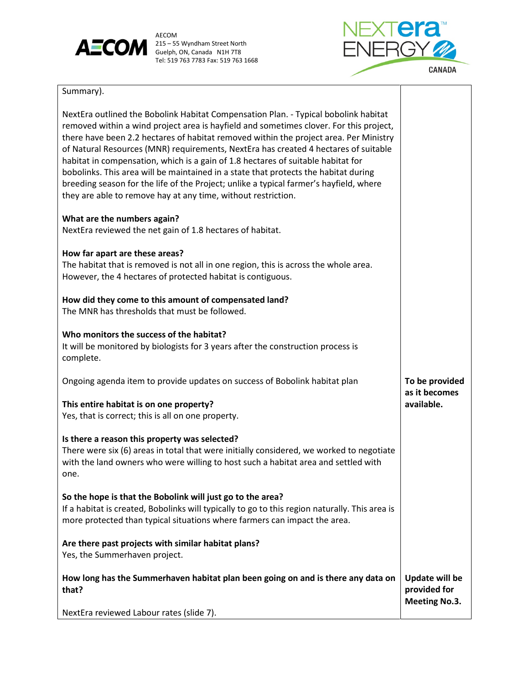

AECOM<br>Guelph, ON, Canada N1H 7T8 Tel: 519 763 7783 Fax: 519 763 1668



# Summary).

| NextEra outlined the Bobolink Habitat Compensation Plan. - Typical bobolink habitat<br>removed within a wind project area is hayfield and sometimes clover. For this project,<br>there have been 2.2 hectares of habitat removed within the project area. Per Ministry<br>of Natural Resources (MNR) requirements, NextEra has created 4 hectares of suitable<br>habitat in compensation, which is a gain of 1.8 hectares of suitable habitat for<br>bobolinks. This area will be maintained in a state that protects the habitat during<br>breeding season for the life of the Project; unlike a typical farmer's hayfield, where<br>they are able to remove hay at any time, without restriction. |                                                               |
|-----------------------------------------------------------------------------------------------------------------------------------------------------------------------------------------------------------------------------------------------------------------------------------------------------------------------------------------------------------------------------------------------------------------------------------------------------------------------------------------------------------------------------------------------------------------------------------------------------------------------------------------------------------------------------------------------------|---------------------------------------------------------------|
| What are the numbers again?<br>NextEra reviewed the net gain of 1.8 hectares of habitat.                                                                                                                                                                                                                                                                                                                                                                                                                                                                                                                                                                                                            |                                                               |
| How far apart are these areas?<br>The habitat that is removed is not all in one region, this is across the whole area.<br>However, the 4 hectares of protected habitat is contiguous.                                                                                                                                                                                                                                                                                                                                                                                                                                                                                                               |                                                               |
| How did they come to this amount of compensated land?<br>The MNR has thresholds that must be followed.                                                                                                                                                                                                                                                                                                                                                                                                                                                                                                                                                                                              |                                                               |
| Who monitors the success of the habitat?<br>It will be monitored by biologists for 3 years after the construction process is<br>complete.                                                                                                                                                                                                                                                                                                                                                                                                                                                                                                                                                           |                                                               |
| Ongoing agenda item to provide updates on success of Bobolink habitat plan                                                                                                                                                                                                                                                                                                                                                                                                                                                                                                                                                                                                                          | To be provided                                                |
| This entire habitat is on one property?<br>Yes, that is correct; this is all on one property.                                                                                                                                                                                                                                                                                                                                                                                                                                                                                                                                                                                                       | as it becomes<br>available.                                   |
| Is there a reason this property was selected?<br>There were six (6) areas in total that were initially considered, we worked to negotiate<br>with the land owners who were willing to host such a habitat area and settled with<br>one.                                                                                                                                                                                                                                                                                                                                                                                                                                                             |                                                               |
| So the hope is that the Bobolink will just go to the area?<br>If a habitat is created, Bobolinks will typically to go to this region naturally. This area is<br>more protected than typical situations where farmers can impact the area.                                                                                                                                                                                                                                                                                                                                                                                                                                                           |                                                               |
| Are there past projects with similar habitat plans?<br>Yes, the Summerhaven project.                                                                                                                                                                                                                                                                                                                                                                                                                                                                                                                                                                                                                |                                                               |
| How long has the Summerhaven habitat plan been going on and is there any data on<br>that?                                                                                                                                                                                                                                                                                                                                                                                                                                                                                                                                                                                                           | <b>Update will be</b><br>provided for<br><b>Meeting No.3.</b> |
| NextEra reviewed Labour rates (slide 7).                                                                                                                                                                                                                                                                                                                                                                                                                                                                                                                                                                                                                                                            |                                                               |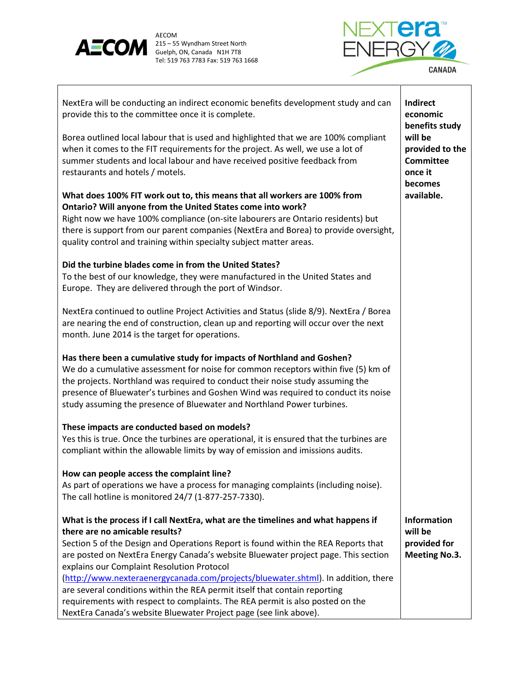

AECOM<br>Guelph, ON, Canada N1H 7T8 Tel: 519 763 7783 Fax: 519 763 1668



| NextEra will be conducting an indirect economic benefits development study and can<br>provide this to the committee once it is complete.                                                                                                                                                                                                                                                                       | <b>Indirect</b><br>economic<br>benefits study                        |
|----------------------------------------------------------------------------------------------------------------------------------------------------------------------------------------------------------------------------------------------------------------------------------------------------------------------------------------------------------------------------------------------------------------|----------------------------------------------------------------------|
| Borea outlined local labour that is used and highlighted that we are 100% compliant<br>when it comes to the FIT requirements for the project. As well, we use a lot of<br>summer students and local labour and have received positive feedback from<br>restaurants and hotels / motels.                                                                                                                        | will be<br>provided to the<br><b>Committee</b><br>once it<br>becomes |
| What does 100% FIT work out to, this means that all workers are 100% from                                                                                                                                                                                                                                                                                                                                      | available.                                                           |
| Ontario? Will anyone from the United States come into work?                                                                                                                                                                                                                                                                                                                                                    |                                                                      |
| Right now we have 100% compliance (on-site labourers are Ontario residents) but<br>there is support from our parent companies (NextEra and Borea) to provide oversight,<br>quality control and training within specialty subject matter areas.                                                                                                                                                                 |                                                                      |
|                                                                                                                                                                                                                                                                                                                                                                                                                |                                                                      |
| Did the turbine blades come in from the United States?<br>To the best of our knowledge, they were manufactured in the United States and<br>Europe. They are delivered through the port of Windsor.                                                                                                                                                                                                             |                                                                      |
| NextEra continued to outline Project Activities and Status (slide 8/9). NextEra / Borea<br>are nearing the end of construction, clean up and reporting will occur over the next<br>month. June 2014 is the target for operations.                                                                                                                                                                              |                                                                      |
| Has there been a cumulative study for impacts of Northland and Goshen?<br>We do a cumulative assessment for noise for common receptors within five (5) km of<br>the projects. Northland was required to conduct their noise study assuming the<br>presence of Bluewater's turbines and Goshen Wind was required to conduct its noise<br>study assuming the presence of Bluewater and Northland Power turbines. |                                                                      |
|                                                                                                                                                                                                                                                                                                                                                                                                                |                                                                      |
| These impacts are conducted based on models?<br>Yes this is true. Once the turbines are operational, it is ensured that the turbines are<br>compliant within the allowable limits by way of emission and imissions audits.                                                                                                                                                                                     |                                                                      |
| How can people access the complaint line?                                                                                                                                                                                                                                                                                                                                                                      |                                                                      |
| As part of operations we have a process for managing complaints (including noise).                                                                                                                                                                                                                                                                                                                             |                                                                      |
| The call hotline is monitored 24/7 (1-877-257-7330).                                                                                                                                                                                                                                                                                                                                                           |                                                                      |
| What is the process if I call NextEra, what are the timelines and what happens if                                                                                                                                                                                                                                                                                                                              | <b>Information</b>                                                   |
| there are no amicable results?                                                                                                                                                                                                                                                                                                                                                                                 | will be                                                              |
| Section 5 of the Design and Operations Report is found within the REA Reports that                                                                                                                                                                                                                                                                                                                             | provided for                                                         |
| are posted on NextEra Energy Canada's website Bluewater project page. This section<br>explains our Complaint Resolution Protocol                                                                                                                                                                                                                                                                               | <b>Meeting No.3.</b>                                                 |
| (http://www.nexteraenergycanada.com/projects/bluewater.shtml). In addition, there                                                                                                                                                                                                                                                                                                                              |                                                                      |
| are several conditions within the REA permit itself that contain reporting                                                                                                                                                                                                                                                                                                                                     |                                                                      |
| requirements with respect to complaints. The REA permit is also posted on the                                                                                                                                                                                                                                                                                                                                  |                                                                      |
| NextEra Canada's website Bluewater Project page (see link above).                                                                                                                                                                                                                                                                                                                                              |                                                                      |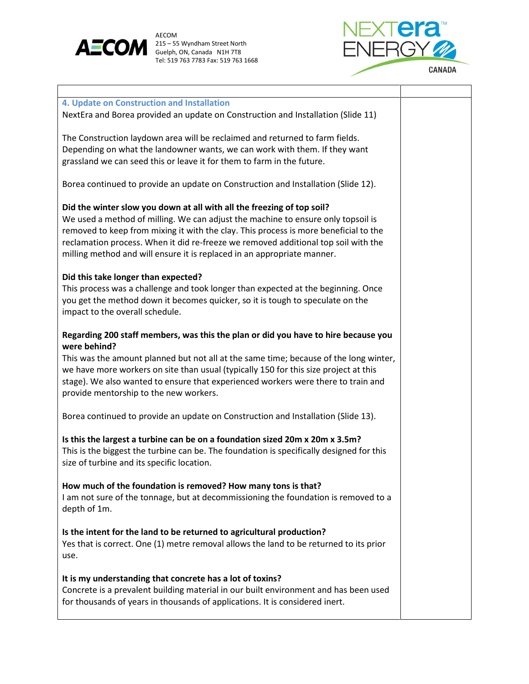

AECOM<br>215 – 55 Wyndham Street North Tel: 519 763 7783 Fax: 519 763 1668



Т

٦

| 4. Update on Construction and Installation<br>NextEra and Borea provided an update on Construction and Installation (Slide 11)                                                                                                                                                                                                                                                                                      |  |
|---------------------------------------------------------------------------------------------------------------------------------------------------------------------------------------------------------------------------------------------------------------------------------------------------------------------------------------------------------------------------------------------------------------------|--|
| The Construction laydown area will be reclaimed and returned to farm fields.<br>Depending on what the landowner wants, we can work with them. If they want<br>grassland we can seed this or leave it for them to farm in the future.                                                                                                                                                                                |  |
| Borea continued to provide an update on Construction and Installation (Slide 12).                                                                                                                                                                                                                                                                                                                                   |  |
| Did the winter slow you down at all with all the freezing of top soil?<br>We used a method of milling. We can adjust the machine to ensure only topsoil is<br>removed to keep from mixing it with the clay. This process is more beneficial to the<br>reclamation process. When it did re-freeze we removed additional top soil with the<br>milling method and will ensure it is replaced in an appropriate manner. |  |
| Did this take longer than expected?<br>This process was a challenge and took longer than expected at the beginning. Once<br>you get the method down it becomes quicker, so it is tough to speculate on the<br>impact to the overall schedule.                                                                                                                                                                       |  |
| Regarding 200 staff members, was this the plan or did you have to hire because you<br>were behind?<br>This was the amount planned but not all at the same time; because of the long winter,<br>we have more workers on site than usual (typically 150 for this size project at this<br>stage). We also wanted to ensure that experienced workers were there to train and<br>provide mentorship to the new workers.  |  |
| Borea continued to provide an update on Construction and Installation (Slide 13).                                                                                                                                                                                                                                                                                                                                   |  |
| Is this the largest a turbine can be on a foundation sized 20m x 20m x 3.5m?<br>This is the biggest the turbine can be. The foundation is specifically designed for this<br>size of turbine and its specific location.                                                                                                                                                                                              |  |
| How much of the foundation is removed? How many tons is that?<br>I am not sure of the tonnage, but at decommissioning the foundation is removed to a<br>depth of 1m.                                                                                                                                                                                                                                                |  |
| Is the intent for the land to be returned to agricultural production?<br>Yes that is correct. One (1) metre removal allows the land to be returned to its prior<br>use.                                                                                                                                                                                                                                             |  |
| It is my understanding that concrete has a lot of toxins?<br>Concrete is a prevalent building material in our built environment and has been used<br>for thousands of years in thousands of applications. It is considered inert.                                                                                                                                                                                   |  |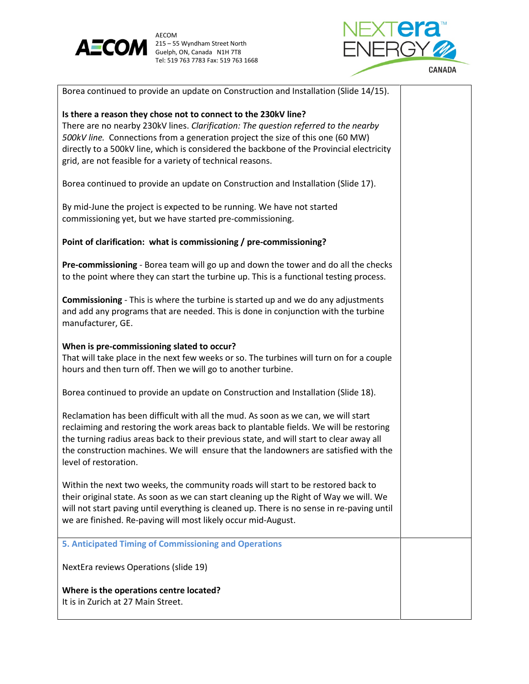



| Borea continued to provide an update on Construction and Installation (Slide 14/15).                                                                                                                                                                                                                                                                                                              |  |
|---------------------------------------------------------------------------------------------------------------------------------------------------------------------------------------------------------------------------------------------------------------------------------------------------------------------------------------------------------------------------------------------------|--|
| Is there a reason they chose not to connect to the 230kV line?<br>There are no nearby 230kV lines. Clarification: The question referred to the nearby<br>500kV line. Connections from a generation project the size of this one (60 MW)<br>directly to a 500kV line, which is considered the backbone of the Provincial electricity<br>grid, are not feasible for a variety of technical reasons. |  |
| Borea continued to provide an update on Construction and Installation (Slide 17).                                                                                                                                                                                                                                                                                                                 |  |
| By mid-June the project is expected to be running. We have not started<br>commissioning yet, but we have started pre-commissioning.                                                                                                                                                                                                                                                               |  |
| Point of clarification: what is commissioning / pre-commissioning?                                                                                                                                                                                                                                                                                                                                |  |
| Pre-commissioning - Borea team will go up and down the tower and do all the checks<br>to the point where they can start the turbine up. This is a functional testing process.                                                                                                                                                                                                                     |  |
| <b>Commissioning</b> - This is where the turbine is started up and we do any adjustments<br>and add any programs that are needed. This is done in conjunction with the turbine<br>manufacturer, GE.                                                                                                                                                                                               |  |
| When is pre-commissioning slated to occur?<br>That will take place in the next few weeks or so. The turbines will turn on for a couple<br>hours and then turn off. Then we will go to another turbine.                                                                                                                                                                                            |  |
| Borea continued to provide an update on Construction and Installation (Slide 18).                                                                                                                                                                                                                                                                                                                 |  |
| Reclamation has been difficult with all the mud. As soon as we can, we will start<br>reclaiming and restoring the work areas back to plantable fields. We will be restoring<br>the turning radius areas back to their previous state, and will start to clear away all<br>the construction machines. We will ensure that the landowners are satisfied with the<br>level of restoration.           |  |
| Within the next two weeks, the community roads will start to be restored back to<br>their original state. As soon as we can start cleaning up the Right of Way we will. We<br>will not start paving until everything is cleaned up. There is no sense in re-paving until<br>we are finished. Re-paving will most likely occur mid-August.                                                         |  |
| 5. Anticipated Timing of Commissioning and Operations                                                                                                                                                                                                                                                                                                                                             |  |
| NextEra reviews Operations (slide 19)                                                                                                                                                                                                                                                                                                                                                             |  |
| Where is the operations centre located?<br>It is in Zurich at 27 Main Street.                                                                                                                                                                                                                                                                                                                     |  |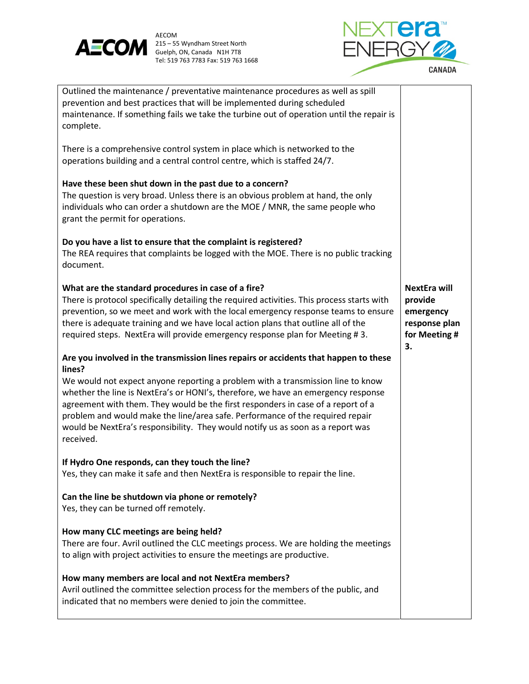

AECOM<br>215 – 55 Wyndham Street North Tel: 519 763 7783 Fax: 519 763 1668



| Outlined the maintenance / preventative maintenance procedures as well as spill<br>prevention and best practices that will be implemented during scheduled<br>maintenance. If something fails we take the turbine out of operation until the repair is<br>complete.                                                                                                                                                                       |                                                                                     |
|-------------------------------------------------------------------------------------------------------------------------------------------------------------------------------------------------------------------------------------------------------------------------------------------------------------------------------------------------------------------------------------------------------------------------------------------|-------------------------------------------------------------------------------------|
| There is a comprehensive control system in place which is networked to the<br>operations building and a central control centre, which is staffed 24/7.                                                                                                                                                                                                                                                                                    |                                                                                     |
| Have these been shut down in the past due to a concern?<br>The question is very broad. Unless there is an obvious problem at hand, the only<br>individuals who can order a shutdown are the MOE / MNR, the same people who<br>grant the permit for operations.                                                                                                                                                                            |                                                                                     |
| Do you have a list to ensure that the complaint is registered?<br>The REA requires that complaints be logged with the MOE. There is no public tracking<br>document.                                                                                                                                                                                                                                                                       |                                                                                     |
| What are the standard procedures in case of a fire?<br>There is protocol specifically detailing the required activities. This process starts with<br>prevention, so we meet and work with the local emergency response teams to ensure<br>there is adequate training and we have local action plans that outline all of the<br>required steps. NextEra will provide emergency response plan for Meeting #3.                               | <b>NextEra will</b><br>provide<br>emergency<br>response plan<br>for Meeting #<br>3. |
| Are you involved in the transmission lines repairs or accidents that happen to these<br>lines?                                                                                                                                                                                                                                                                                                                                            |                                                                                     |
| We would not expect anyone reporting a problem with a transmission line to know<br>whether the line is NextEra's or HONI's, therefore, we have an emergency response<br>agreement with them. They would be the first responders in case of a report of a<br>problem and would make the line/area safe. Performance of the required repair<br>would be NextEra's responsibility. They would notify us as soon as a report was<br>received. |                                                                                     |
| If Hydro One responds, can they touch the line?<br>Yes, they can make it safe and then NextEra is responsible to repair the line.                                                                                                                                                                                                                                                                                                         |                                                                                     |
| Can the line be shutdown via phone or remotely?<br>Yes, they can be turned off remotely.                                                                                                                                                                                                                                                                                                                                                  |                                                                                     |
| How many CLC meetings are being held?<br>There are four. Avril outlined the CLC meetings process. We are holding the meetings<br>to align with project activities to ensure the meetings are productive.                                                                                                                                                                                                                                  |                                                                                     |
| How many members are local and not NextEra members?<br>Avril outlined the committee selection process for the members of the public, and<br>indicated that no members were denied to join the committee.                                                                                                                                                                                                                                  |                                                                                     |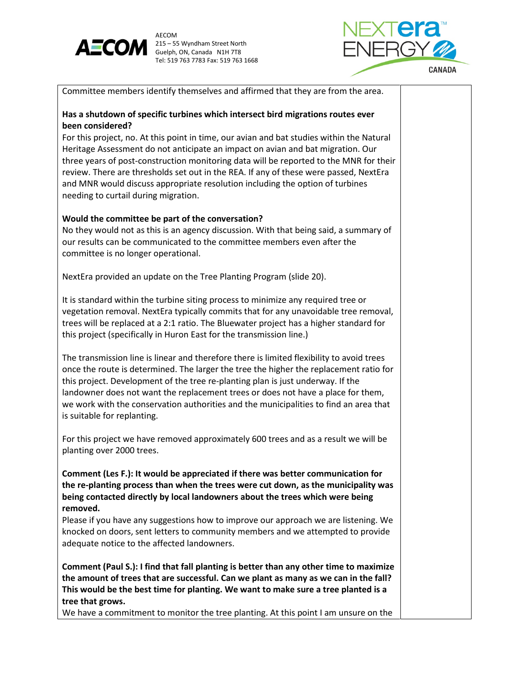

AECOM 215 – 55 Wyndham Street North  $\overline{\mathsf{EMERGY}}$ Guelph, ON, Canada N1H 7T8 Tel: 519 763 7783 Fax: 519 763 1668



Committee members identify themselves and affirmed that they are from the area.

# **Has a shutdown of specific turbines which intersect bird migrations routes ever been considered?**

For this project, no. At this point in time, our avian and bat studies within the Natural Heritage Assessment do not anticipate an impact on avian and bat migration. Our three years of post-construction monitoring data will be reported to the MNR for their review. There are thresholds set out in the REA. If any of these were passed, NextEra and MNR would discuss appropriate resolution including the option of turbines needing to curtail during migration.

# **Would the committee be part of the conversation?**

No they would not as this is an agency discussion. With that being said, a summary of our results can be communicated to the committee members even after the committee is no longer operational.

NextEra provided an update on the Tree Planting Program (slide 20).

It is standard within the turbine siting process to minimize any required tree or vegetation removal. NextEra typically commits that for any unavoidable tree removal, trees will be replaced at a 2:1 ratio. The Bluewater project has a higher standard for this project (specifically in Huron East for the transmission line.)

The transmission line is linear and therefore there is limited flexibility to avoid trees once the route is determined. The larger the tree the higher the replacement ratio for this project. Development of the tree re-planting plan is just underway. If the landowner does not want the replacement trees or does not have a place for them, we work with the conservation authorities and the municipalities to find an area that is suitable for replanting.

For this project we have removed approximately 600 trees and as a result we will be planting over 2000 trees.

**Comment (Les F.): It would be appreciated if there was better communication for the re-planting process than when the trees were cut down, as the municipality was being contacted directly by local landowners about the trees which were being removed.** 

Please if you have any suggestions how to improve our approach we are listening. We knocked on doors, sent letters to community members and we attempted to provide adequate notice to the affected landowners.

**Comment (Paul S.): I find that fall planting is better than any other time to maximize the amount of trees that are successful. Can we plant as many as we can in the fall? This would be the best time for planting. We want to make sure a tree planted is a tree that grows.** 

We have a commitment to monitor the tree planting. At this point I am unsure on the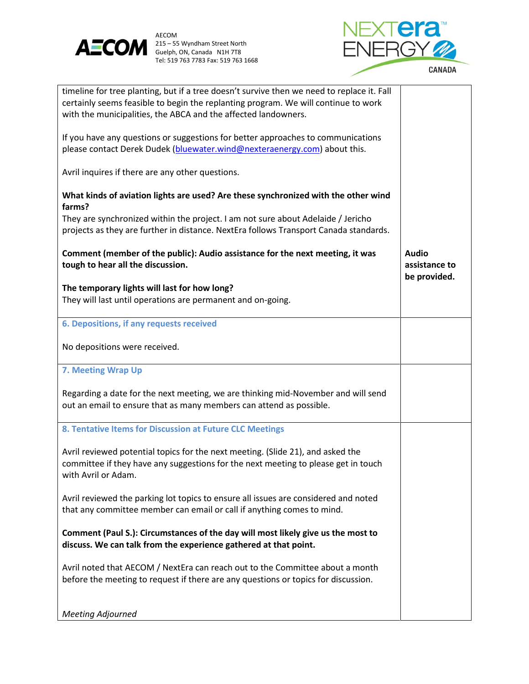



| timeline for tree planting, but if a tree doesn't survive then we need to replace it. Fall<br>certainly seems feasible to begin the replanting program. We will continue to work<br>with the municipalities, the ABCA and the affected landowners. |                                               |
|----------------------------------------------------------------------------------------------------------------------------------------------------------------------------------------------------------------------------------------------------|-----------------------------------------------|
| If you have any questions or suggestions for better approaches to communications<br>please contact Derek Dudek (bluewater.wind@nexteraenergy.com) about this.                                                                                      |                                               |
| Avril inquires if there are any other questions.                                                                                                                                                                                                   |                                               |
| What kinds of aviation lights are used? Are these synchronized with the other wind<br>farms?                                                                                                                                                       |                                               |
| They are synchronized within the project. I am not sure about Adelaide / Jericho<br>projects as they are further in distance. NextEra follows Transport Canada standards.                                                                          |                                               |
| Comment (member of the public): Audio assistance for the next meeting, it was<br>tough to hear all the discussion.                                                                                                                                 | <b>Audio</b><br>assistance to<br>be provided. |
| The temporary lights will last for how long?                                                                                                                                                                                                       |                                               |
|                                                                                                                                                                                                                                                    |                                               |
| They will last until operations are permanent and on-going.                                                                                                                                                                                        |                                               |
| 6. Depositions, if any requests received                                                                                                                                                                                                           |                                               |
| No depositions were received.                                                                                                                                                                                                                      |                                               |
| 7. Meeting Wrap Up                                                                                                                                                                                                                                 |                                               |
| Regarding a date for the next meeting, we are thinking mid-November and will send<br>out an email to ensure that as many members can attend as possible.                                                                                           |                                               |
| 8. Tentative Items for Discussion at Future CLC Meetings                                                                                                                                                                                           |                                               |
| Avril reviewed potential topics for the next meeting. (Slide 21), and asked the<br>committee if they have any suggestions for the next meeting to please get in touch<br>with Avril or Adam.                                                       |                                               |
| Avril reviewed the parking lot topics to ensure all issues are considered and noted<br>that any committee member can email or call if anything comes to mind.                                                                                      |                                               |
| Comment (Paul S.): Circumstances of the day will most likely give us the most to<br>discuss. We can talk from the experience gathered at that point.                                                                                               |                                               |
| Avril noted that AECOM / NextEra can reach out to the Committee about a month<br>before the meeting to request if there are any questions or topics for discussion.                                                                                |                                               |
| <b>Meeting Adjourned</b>                                                                                                                                                                                                                           |                                               |